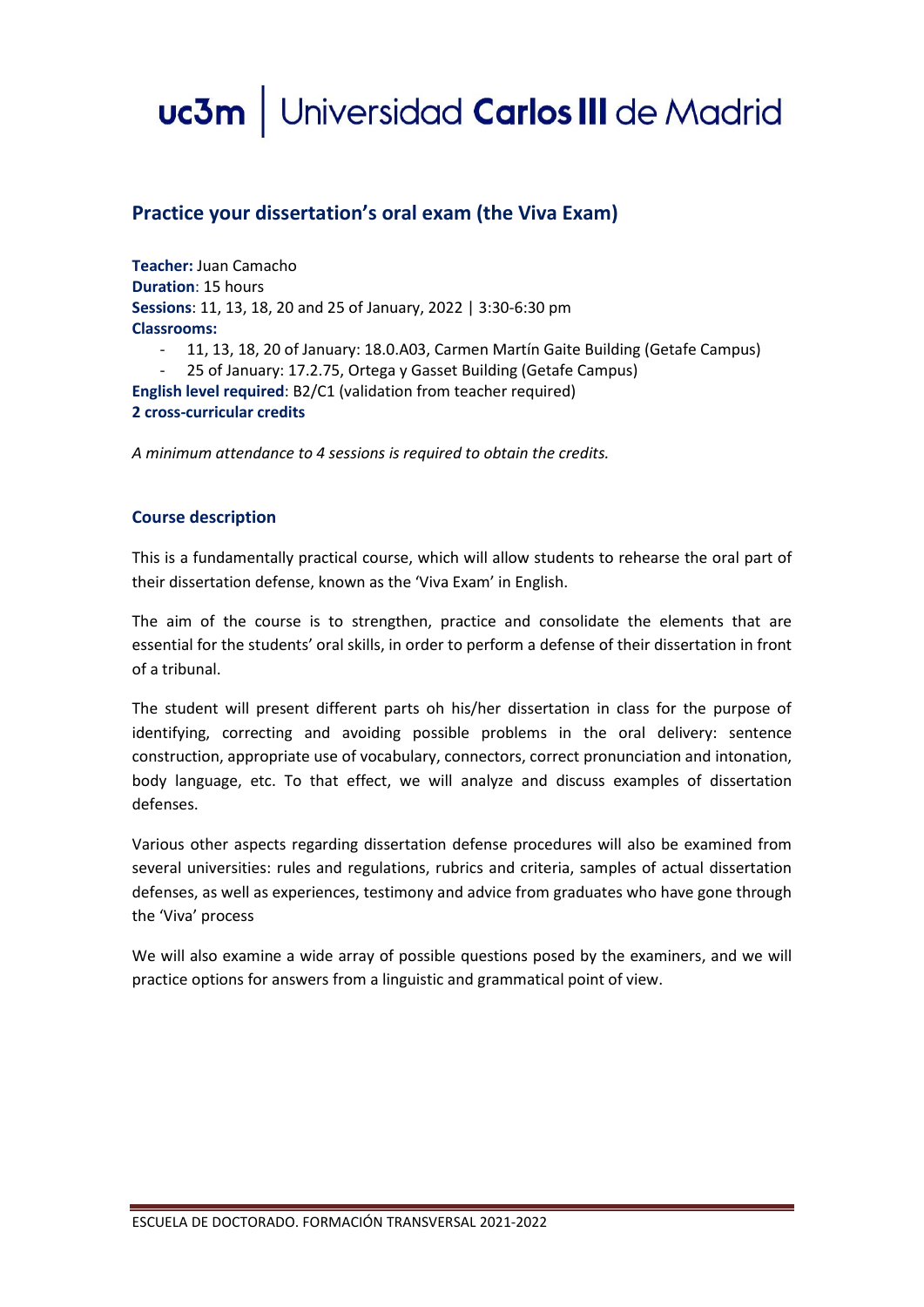# uc3m | Universidad Carlos III de Madrid

## **Practice your dissertation's oral exam (the Viva Exam)**

**Teacher:** Juan Camacho **Duration**: 15 hours **Sessions**: 11, 13, 18, 20 and 25 of January, 2022 | 3:30-6:30 pm **Classrooms:**

- 11, 13, 18, 20 of January: 18.0.A03, Carmen Martín Gaite Building (Getafe Campus)
- 25 of January: 17.2.75, Ortega y Gasset Building (Getafe Campus)

**English level required**: B2/C1 (validation from teacher required) **2 cross-curricular credits**

*A minimum attendance to 4 sessions is required to obtain the credits.*

#### **Course description**

This is a fundamentally practical course, which will allow students to rehearse the oral part of their dissertation defense, known as the 'Viva Exam' in English.

The aim of the course is to strengthen, practice and consolidate the elements that are essential for the students' oral skills, in order to perform a defense of their dissertation in front of a tribunal.

The student will present different parts oh his/her dissertation in class for the purpose of identifying, correcting and avoiding possible problems in the oral delivery: sentence construction, appropriate use of vocabulary, connectors, correct pronunciation and intonation, body language, etc. To that effect, we will analyze and discuss examples of dissertation defenses.

Various other aspects regarding dissertation defense procedures will also be examined from several universities: rules and regulations, rubrics and criteria, samples of actual dissertation defenses, as well as experiences, testimony and advice from graduates who have gone through the 'Viva' process

We will also examine a wide array of possible questions posed by the examiners, and we will practice options for answers from a linguistic and grammatical point of view.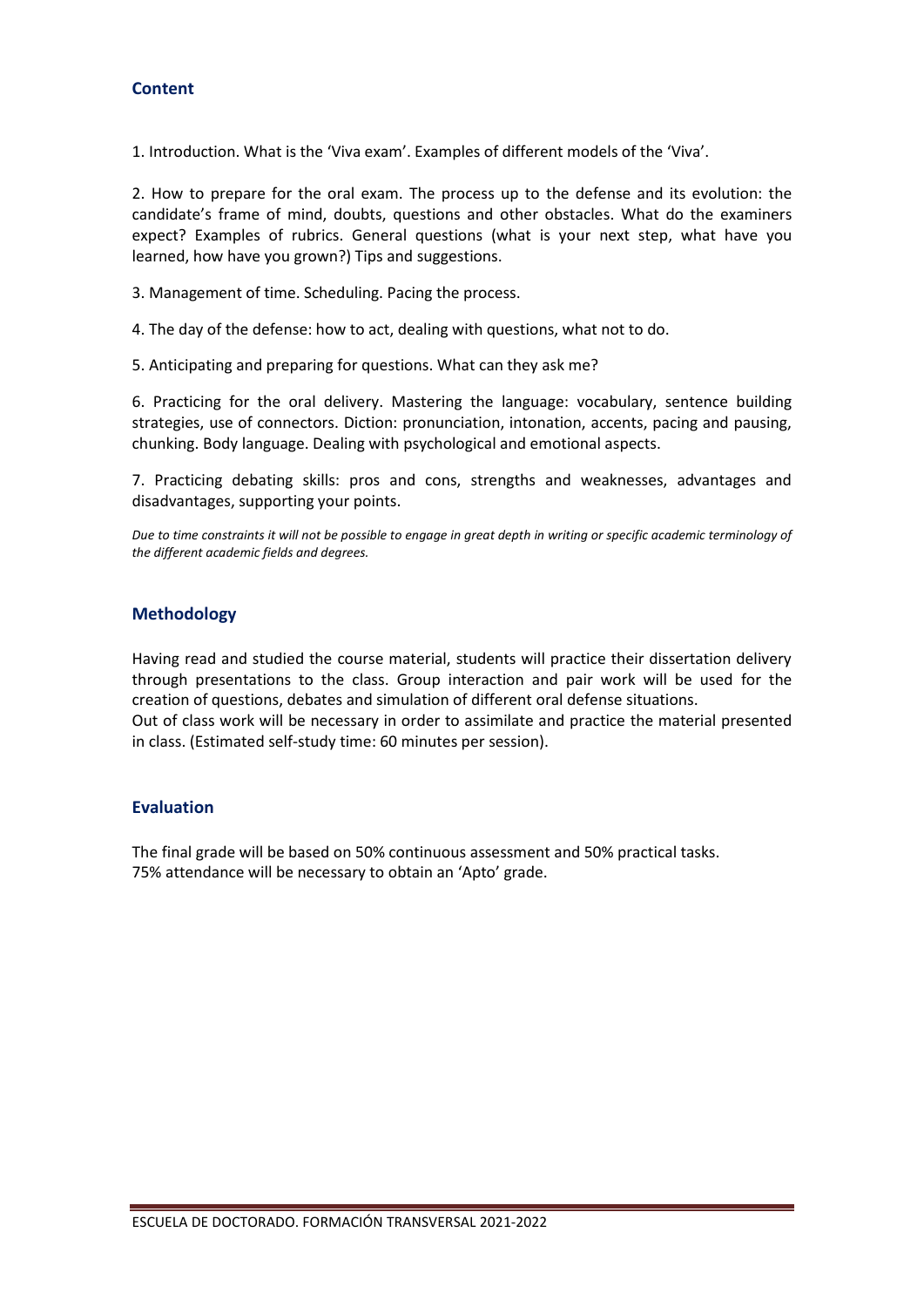#### **Content**

1. Introduction. What is the 'Viva exam'. Examples of different models of the 'Viva'.

2. How to prepare for the oral exam. The process up to the defense and its evolution: the candidate's frame of mind, doubts, questions and other obstacles. What do the examiners expect? Examples of rubrics. General questions (what is your next step, what have you learned, how have you grown?) Tips and suggestions.

3. Management of time. Scheduling. Pacing the process.

4. The day of the defense: how to act, dealing with questions, what not to do.

5. Anticipating and preparing for questions. What can they ask me?

6. Practicing for the oral delivery. Mastering the language: vocabulary, sentence building strategies, use of connectors. Diction: pronunciation, intonation, accents, pacing and pausing, chunking. Body language. Dealing with psychological and emotional aspects.

7. Practicing debating skills: pros and cons, strengths and weaknesses, advantages and disadvantages, supporting your points.

*Due to time constraints it will not be possible to engage in great depth in writing or specific academic terminology of the different academic fields and degrees.*

#### **Methodology**

Having read and studied the course material, students will practice their dissertation delivery through presentations to the class. Group interaction and pair work will be used for the creation of questions, debates and simulation of different oral defense situations. Out of class work will be necessary in order to assimilate and practice the material presented in class. (Estimated self-study time: 60 minutes per session).

### **Evaluation**

The final grade will be based on 50% continuous assessment and 50% practical tasks. 75% attendance will be necessary to obtain an 'Apto' grade.